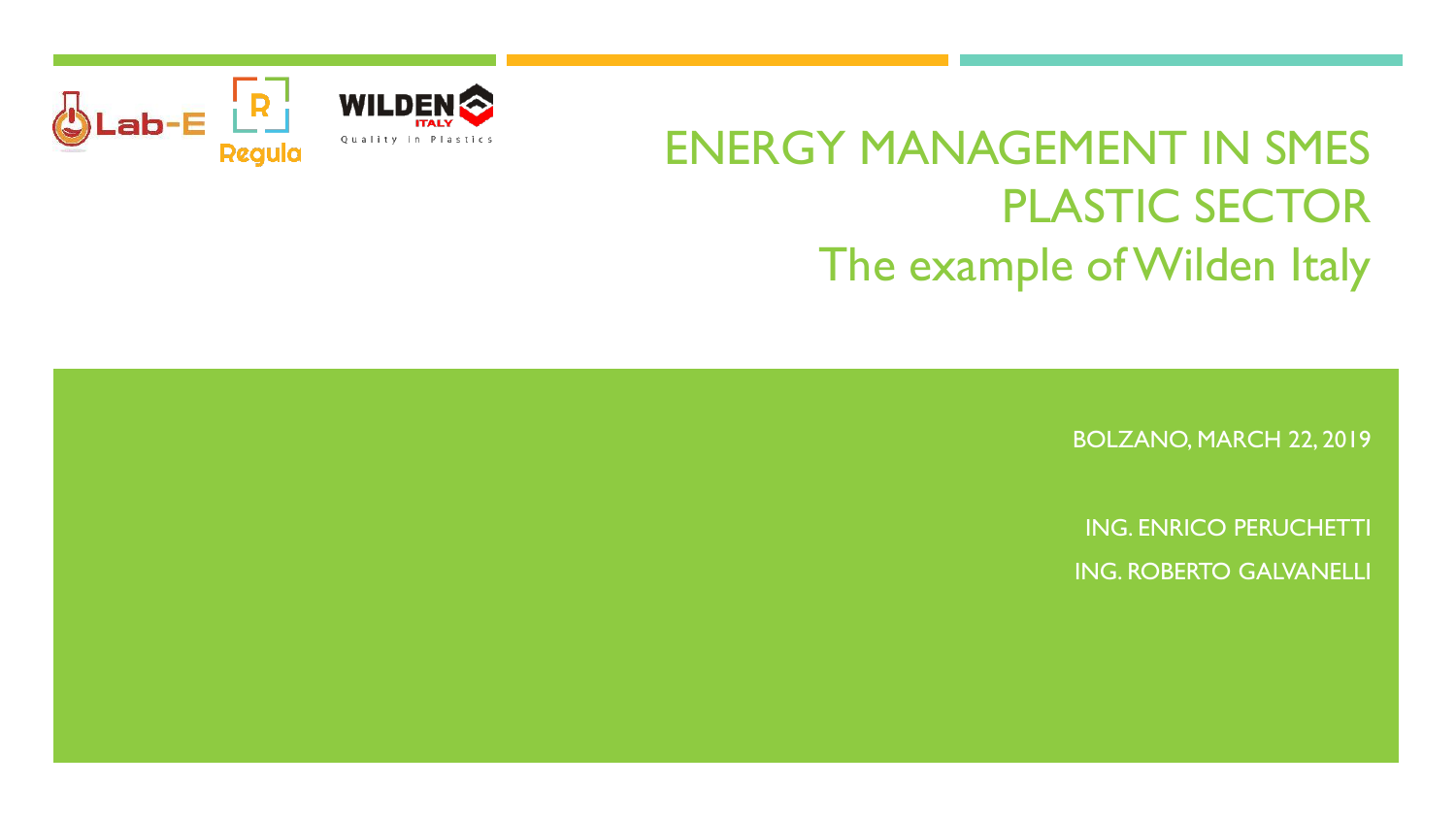

# ENERGY MANAGEMENT IN SMES PLASTIC SECTOR The example of Wilden Italy

BOLZANO, MARCH 22, 2019

ING. ENRICO PERUCHETTI ING. ROBERTO GALVANELLI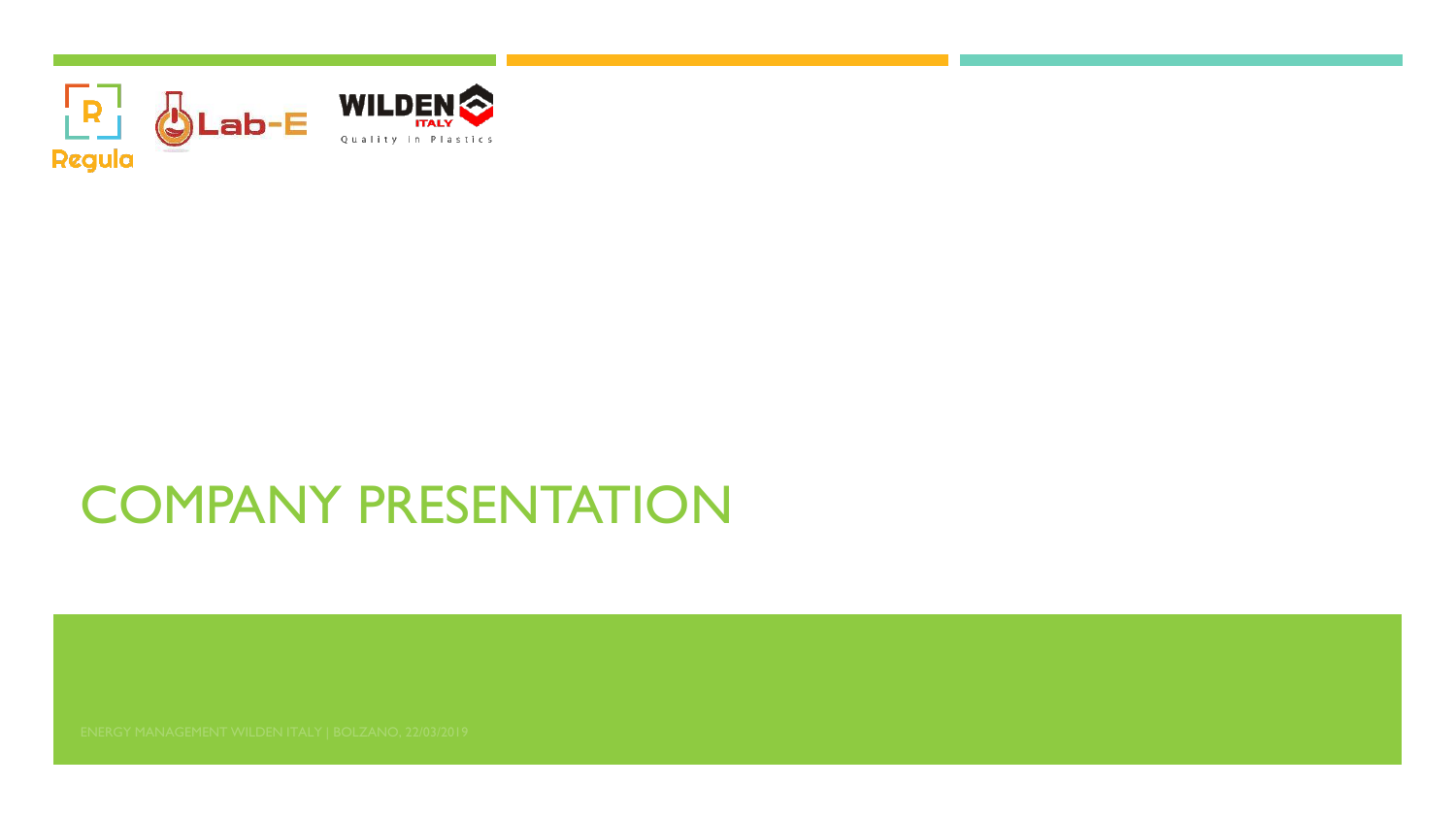

# COMPANY PRESENTATION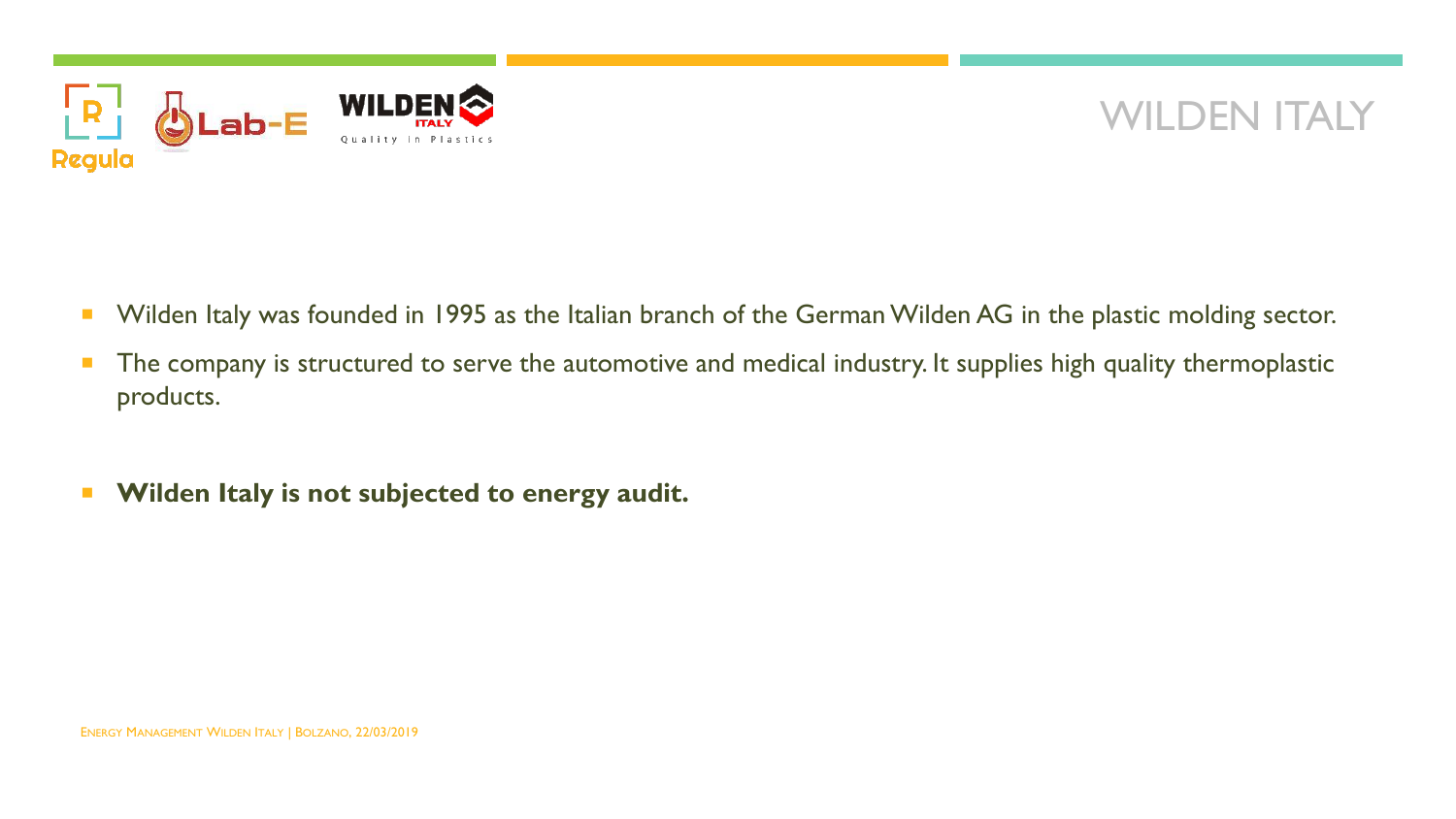

### WILDEN ITALY

- **Number 18 and 1995 We are in 1995** as the Italian branch of the German Wilden AG in the plastic molding sector.
- **The company is structured to serve the automotive and medical industry. It supplies high quality thermoplastic** products.
- **Wilden Italy is not subjected to energy audit.**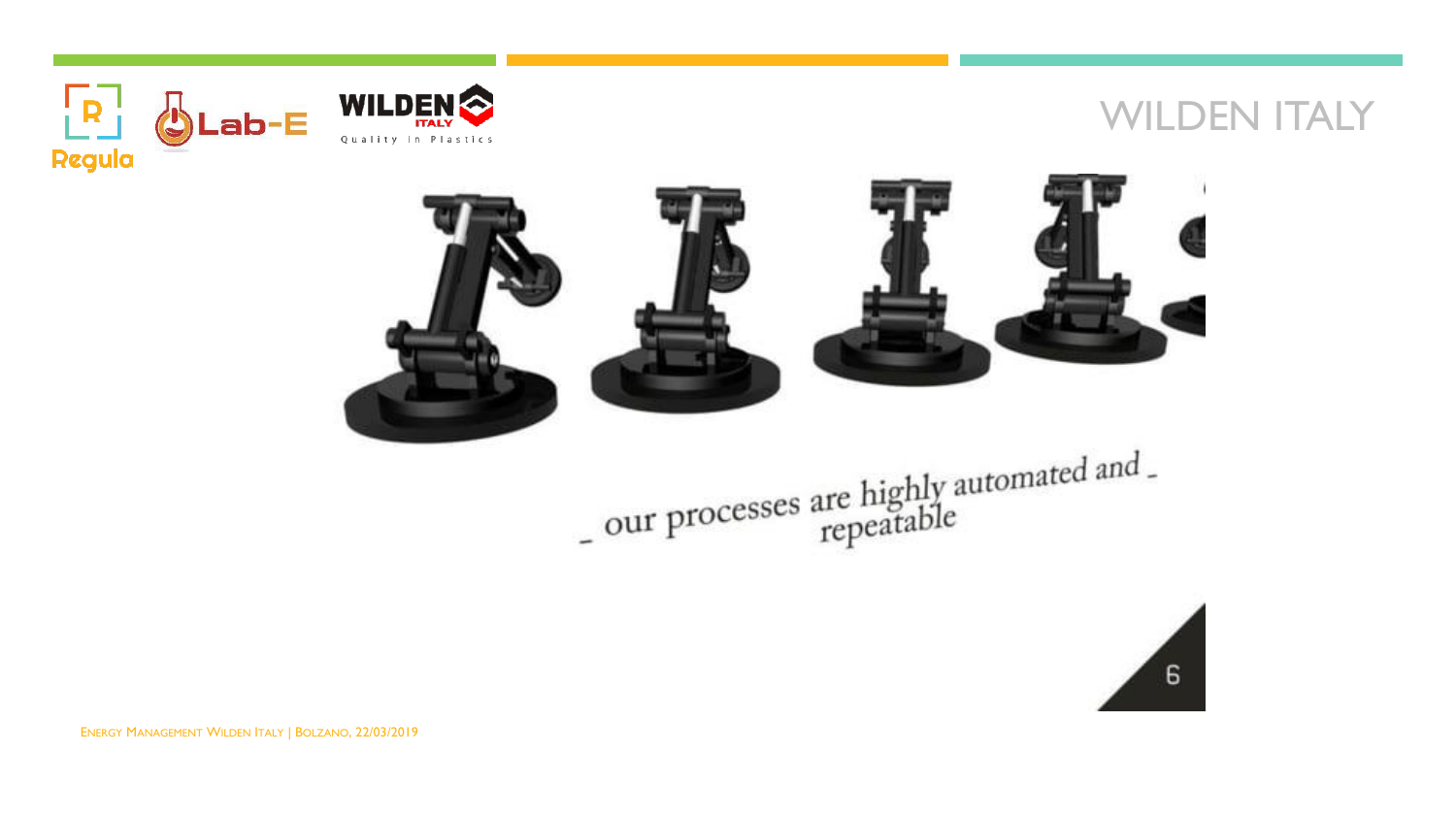### WILDEN **ITALY**



 $\mathbf{R}$ 

**Regula** 



- our processes are highly automated and -<br>repeatable

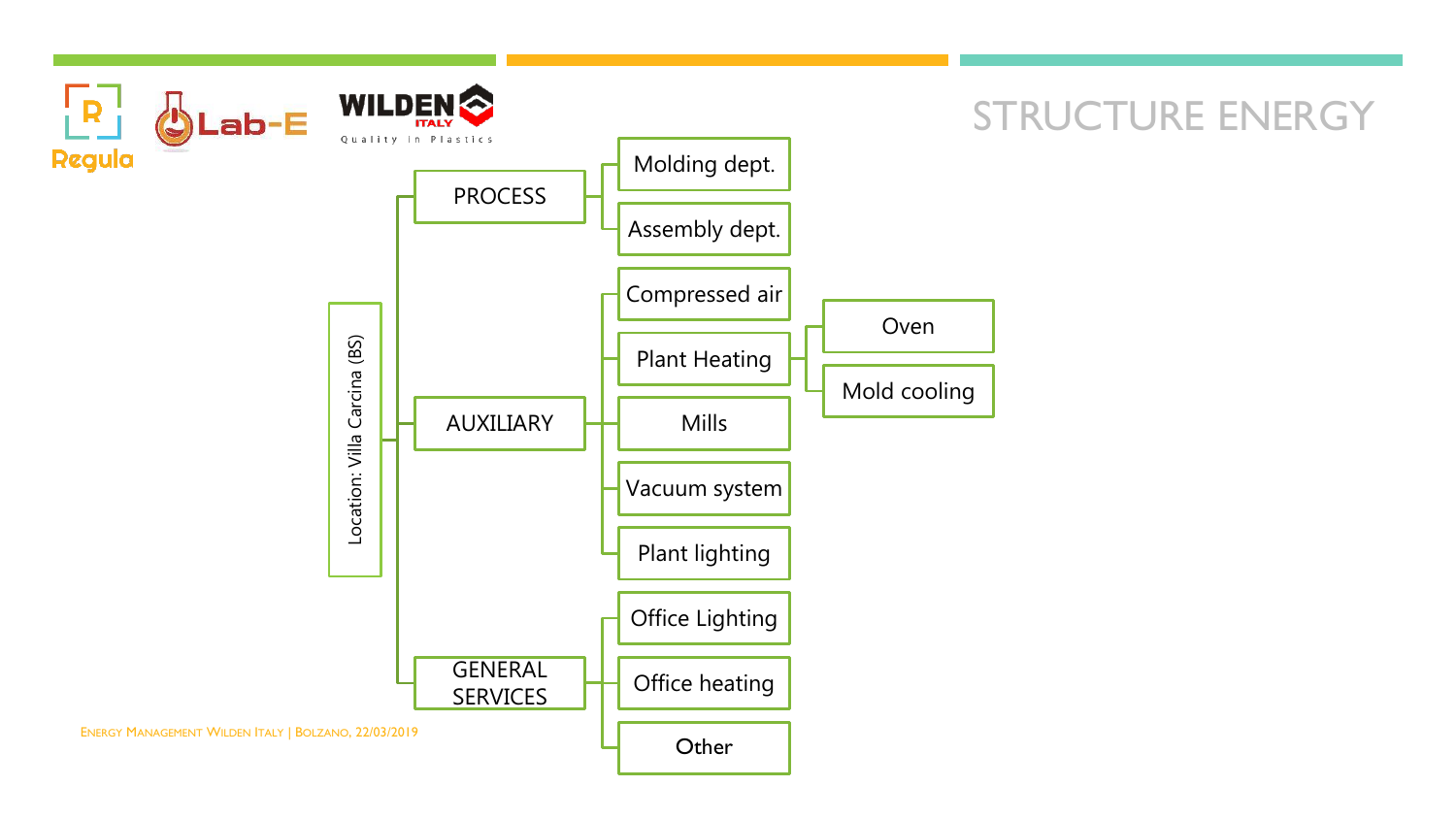

### STRUCTURE ENERGY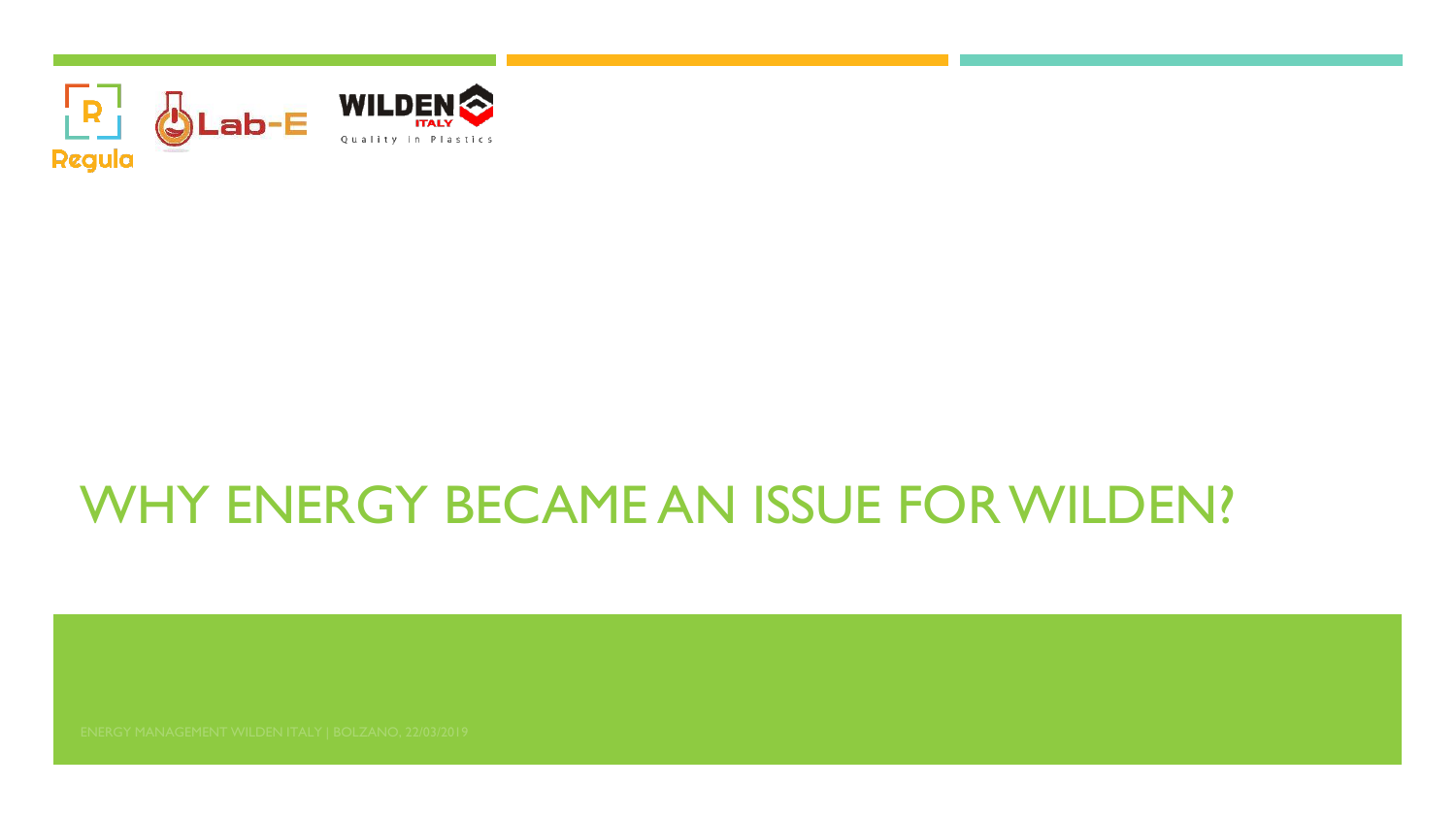

# WHY ENERGY BECAME AN ISSUE FOR WILDEN?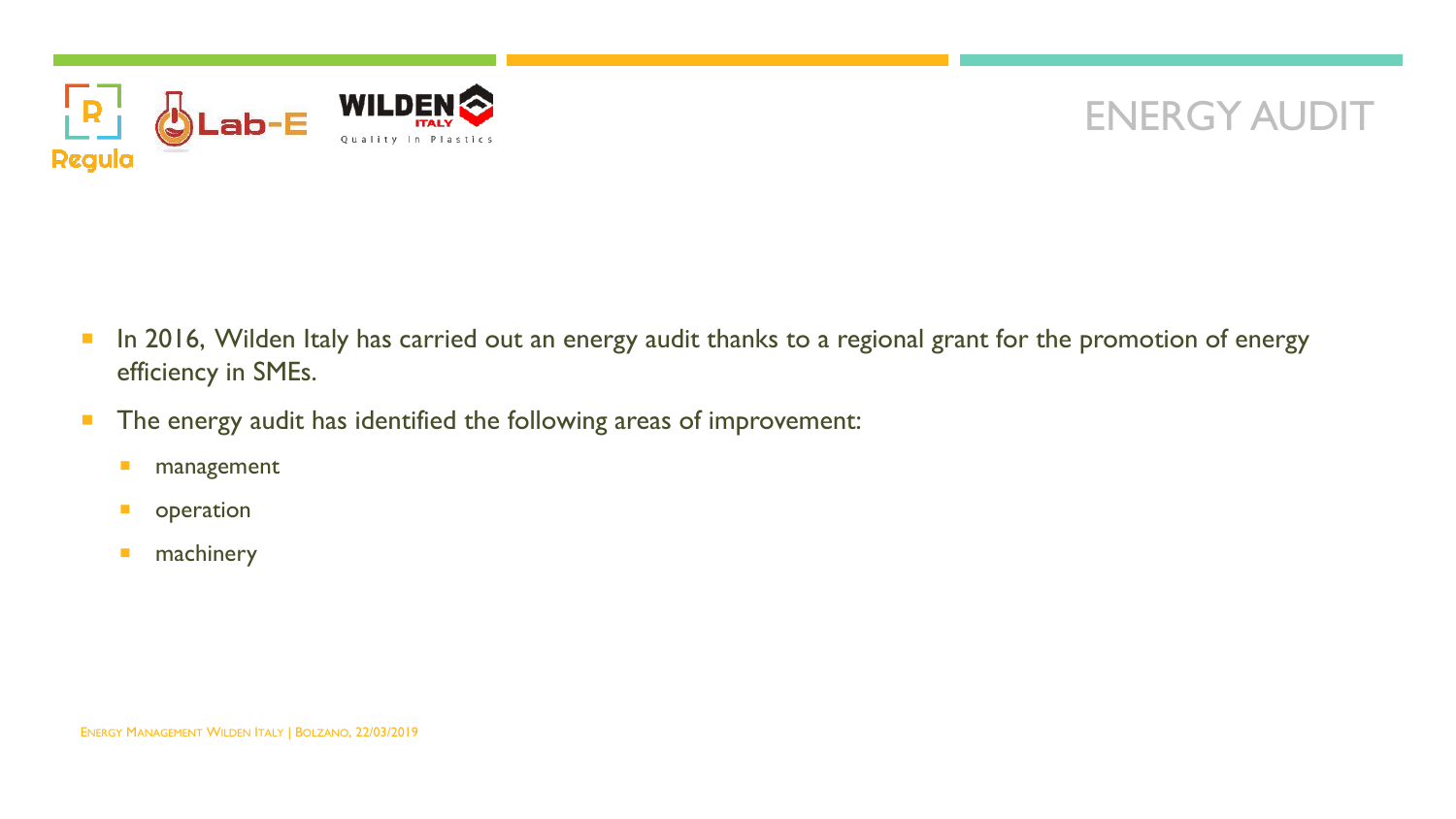

### ENERGY AUDIT

- In 2016, Wilden Italy has carried out an energy audit thanks to a regional grant for the promotion of energy efficiency in SMEs.
- **The energy audit has identified the following areas of improvement:** 
	- **nanagement**
	- **D** operation
	- **nachinery**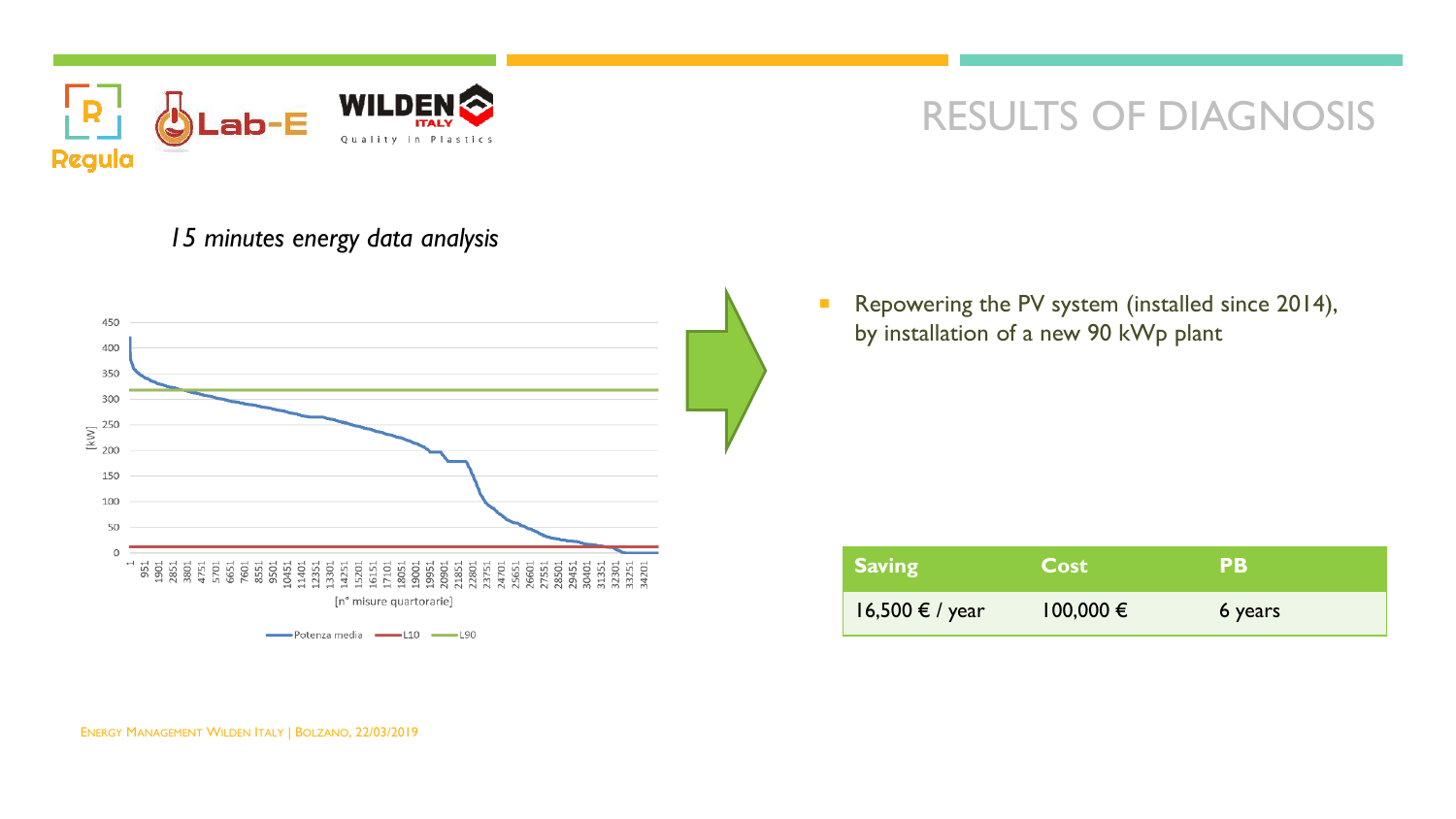

#### *15 minutes energy data analysis*



Repowering the PV system (installed since 2014), by installation of a new 90 kWp plant

| <b>Saving</b>   | <b>Cost</b>   | PB      |  |
|-----------------|---------------|---------|--|
| 16,500 € / year | $100,000 \in$ | 6 years |  |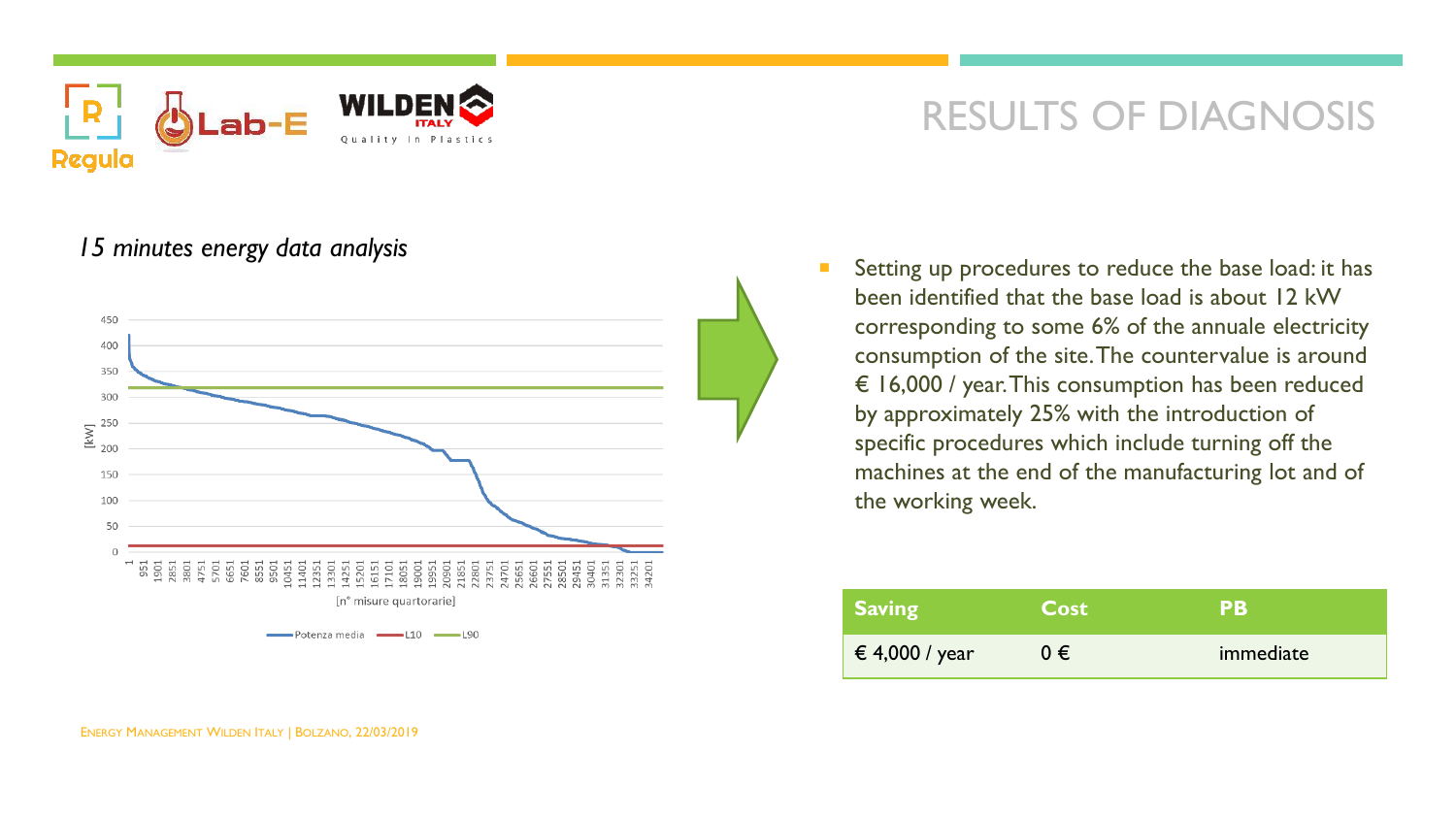

#### *15 minutes energy data analysis*



 Setting up procedures to reduce the base load: it has been identified that the base load is about 12 kW corresponding to some 6% of the annuale electricity consumption of the site. The countervalue is around € 16,000 / year. This consumption has been reduced by approximately 25% with the introduction of specific procedures which include turning off the machines at the end of the manufacturing lot and of the working week.

| <b>Saving</b>  | <b>Cost</b> | PВ        |
|----------------|-------------|-----------|
| € 4,000 / year | $0 \in$     | immediate |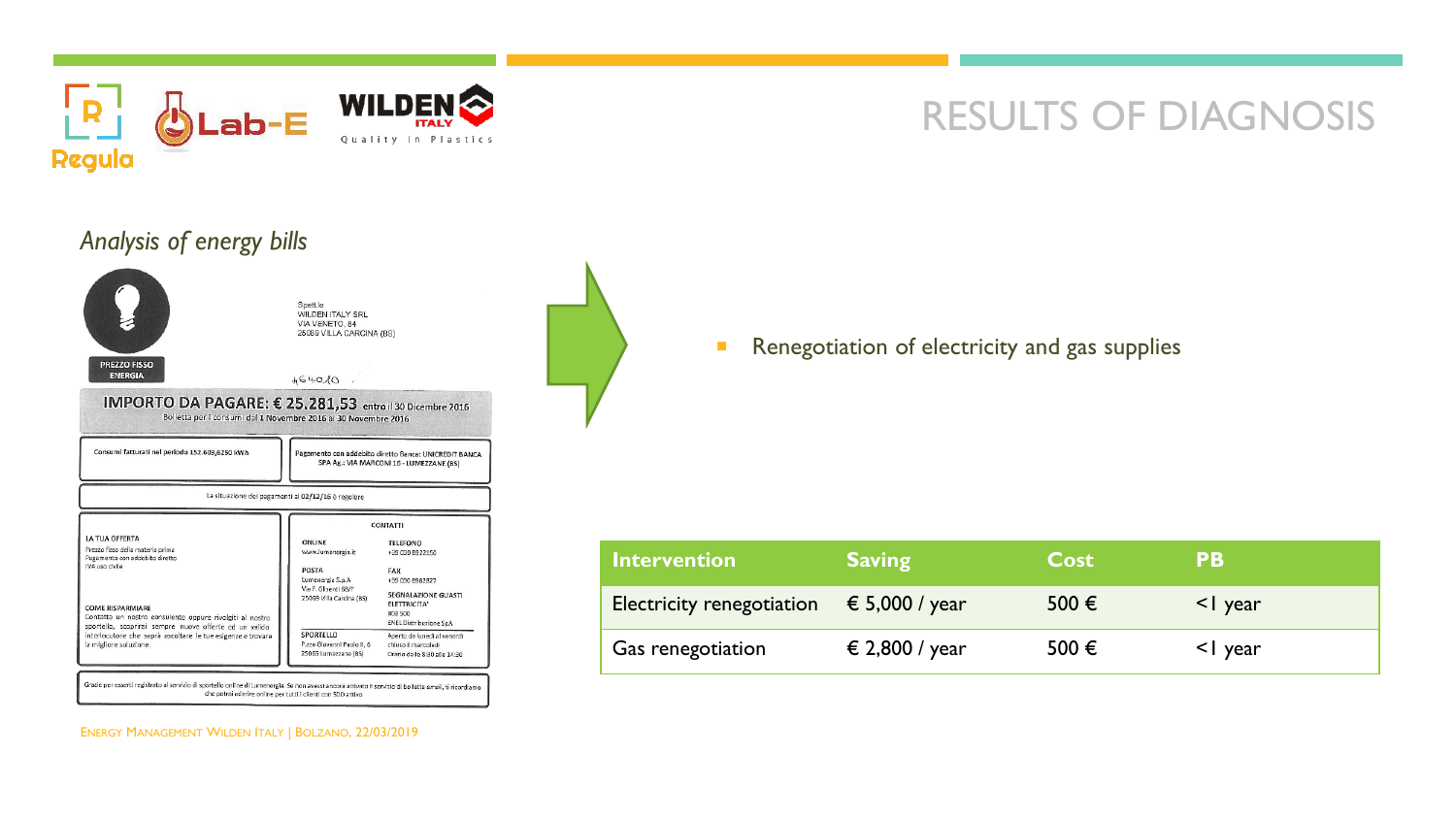



Renegotiation of electricity and gas supplies

| Intervention              | <b>Saving</b>           | <b>Cost</b>    | <b>PB</b>     |
|---------------------------|-------------------------|----------------|---------------|
| Electricity renegotiation | $\epsilon$ 5,000 / year | 500 $\epsilon$ | $\leq$   year |
| Gas renegotiation         | € 2,800 / year          | 500 $\epsilon$ | <1 year       |

ENERGY MANAGEMENT WILDEN ITALY | BOLZANO, 22/03/2019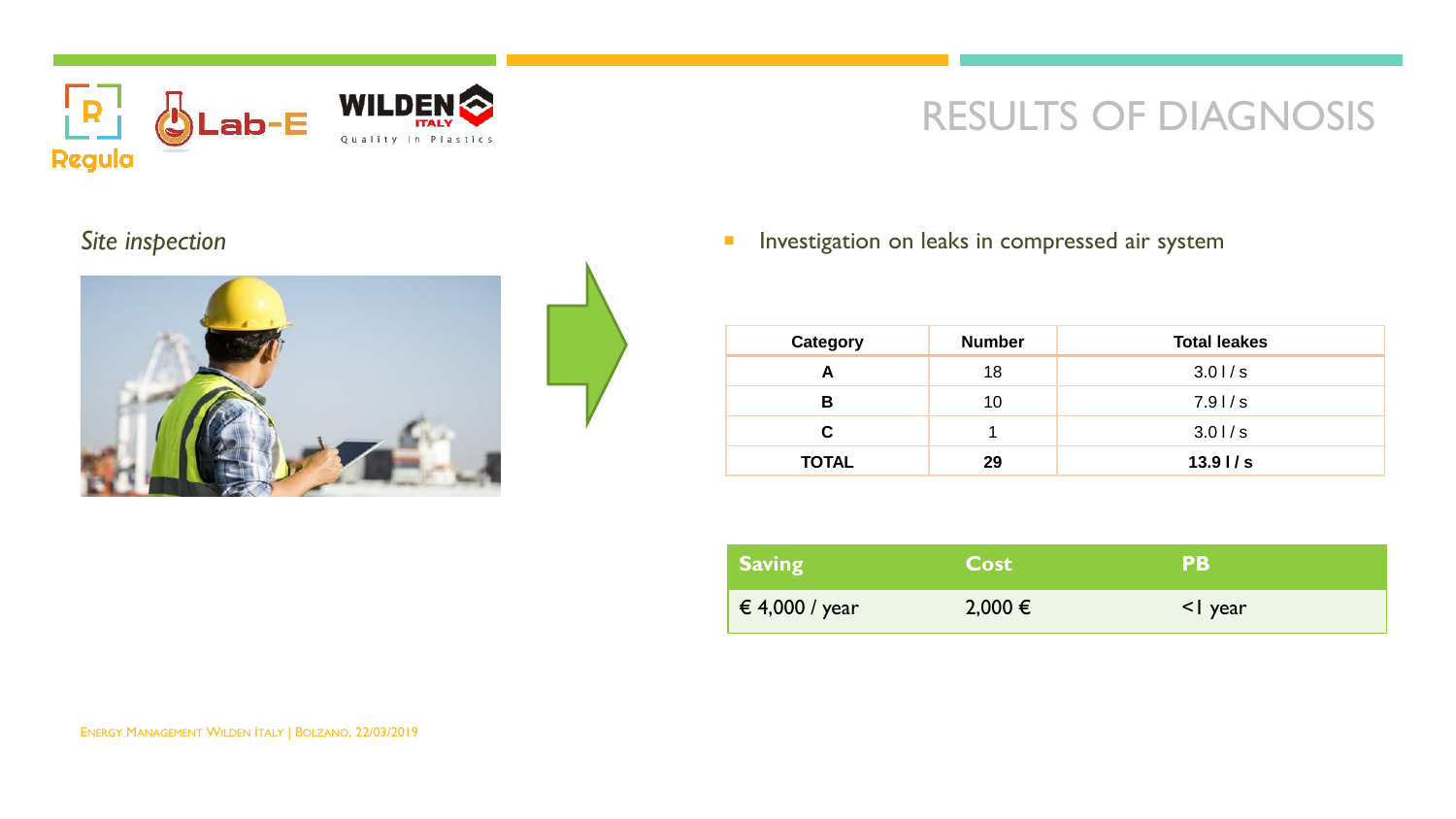



Site inspection **Investigation Investigation** on leaks in compressed air system

| Category     | <b>Number</b> | <b>Total leakes</b> |
|--------------|---------------|---------------------|
| А            | 18            | 3.01/s              |
| в            | 10            | 7.91/s              |
| C            |               | 3.01/s              |
| <b>TOTAL</b> | 29            | 13.91/s             |

| <b>Saving</b>      | <b>Cost</b> | <b>PB</b>   |
|--------------------|-------------|-------------|
| $\in 4,000$ / year | 2,000 €     | $\leq$ year |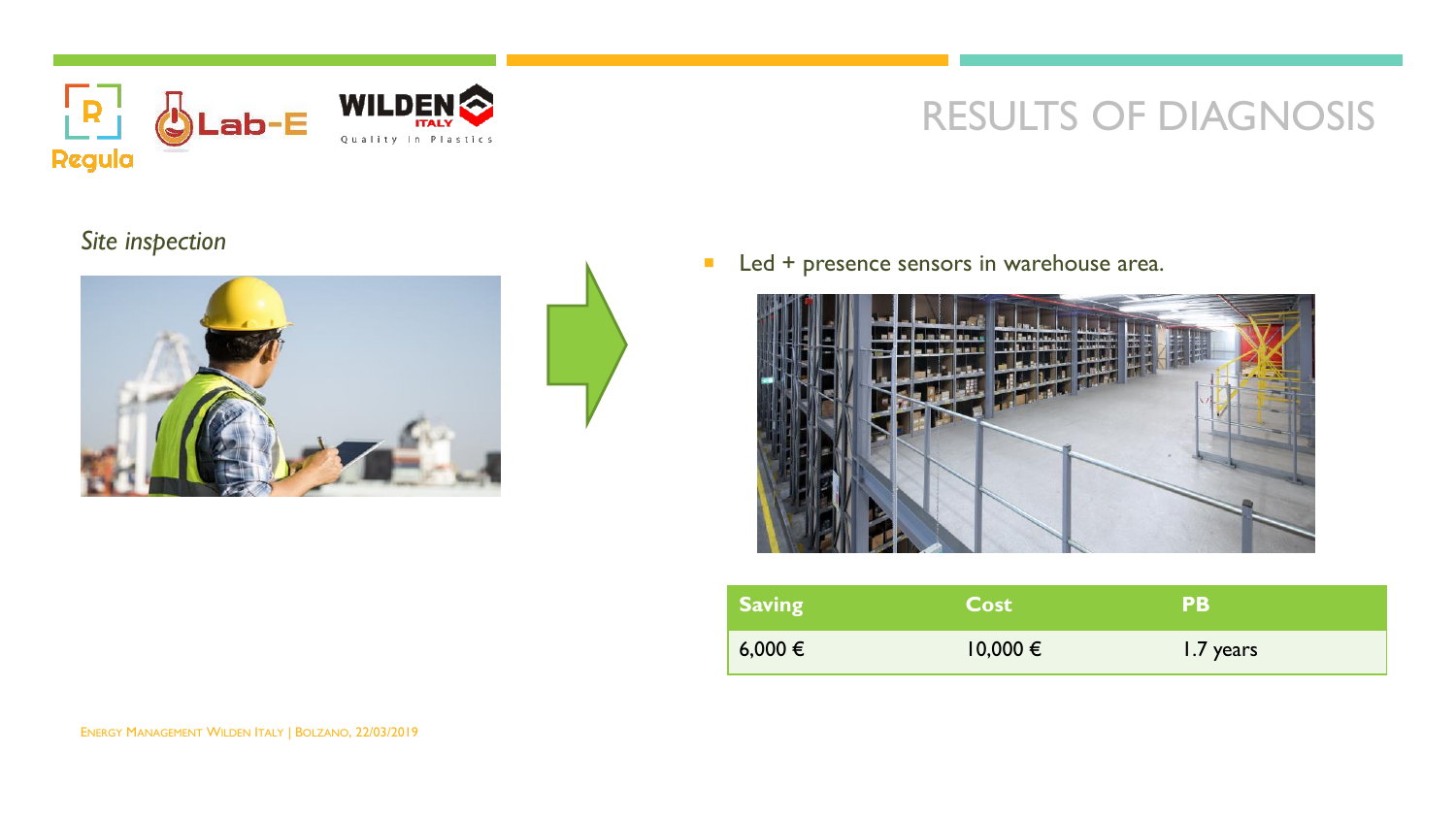

#### *Site inspection*



Led + presence sensors in warehouse area.



| <b>Saving</b> | <b>Cost</b>  | <b>PB</b> |
|---------------|--------------|-----------|
| $6,000 \in$   | $10,000 \in$ | 1.7 years |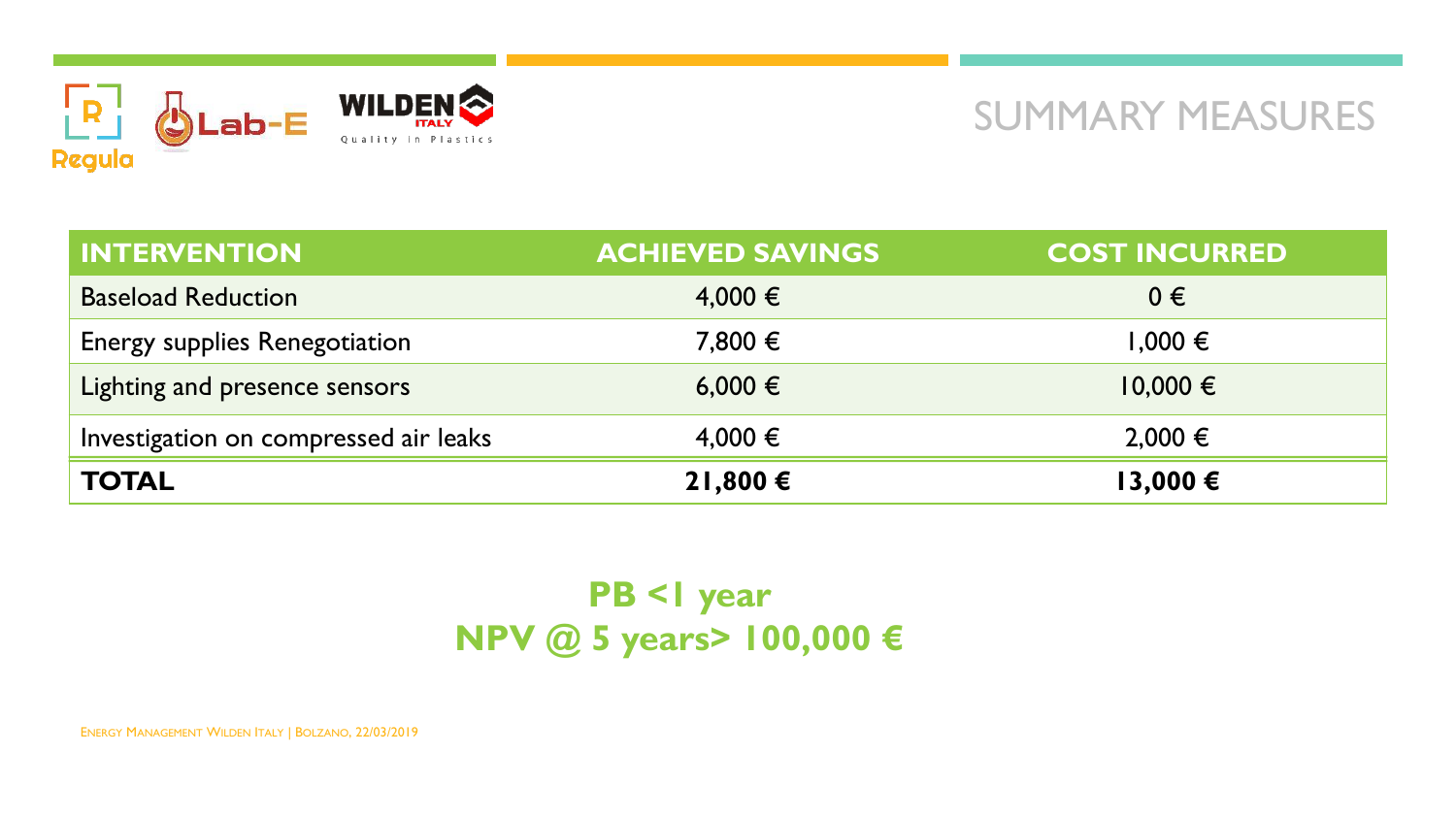

### SUMMARY MEASURES

| <b>INTERVENTION</b>                   | <b>ACHIEVED SAVINGS</b> | <b>COST INCURRED</b> |
|---------------------------------------|-------------------------|----------------------|
| <b>Baseload Reduction</b>             | $4,000 \in$             | $0 \in$              |
| <b>Energy supplies Renegotiation</b>  | 7,800 €                 | 1,000 €              |
| Lighting and presence sensors         | 6,000 €                 | $10,000 \in$         |
| Investigation on compressed air leaks | $4,000 \in$             | $2,000 \in$          |
| <b>TOTAL</b>                          | 21,800 €                | 13,000 €             |

### **PB <1 year NPV @ 5 years> 100,000 €**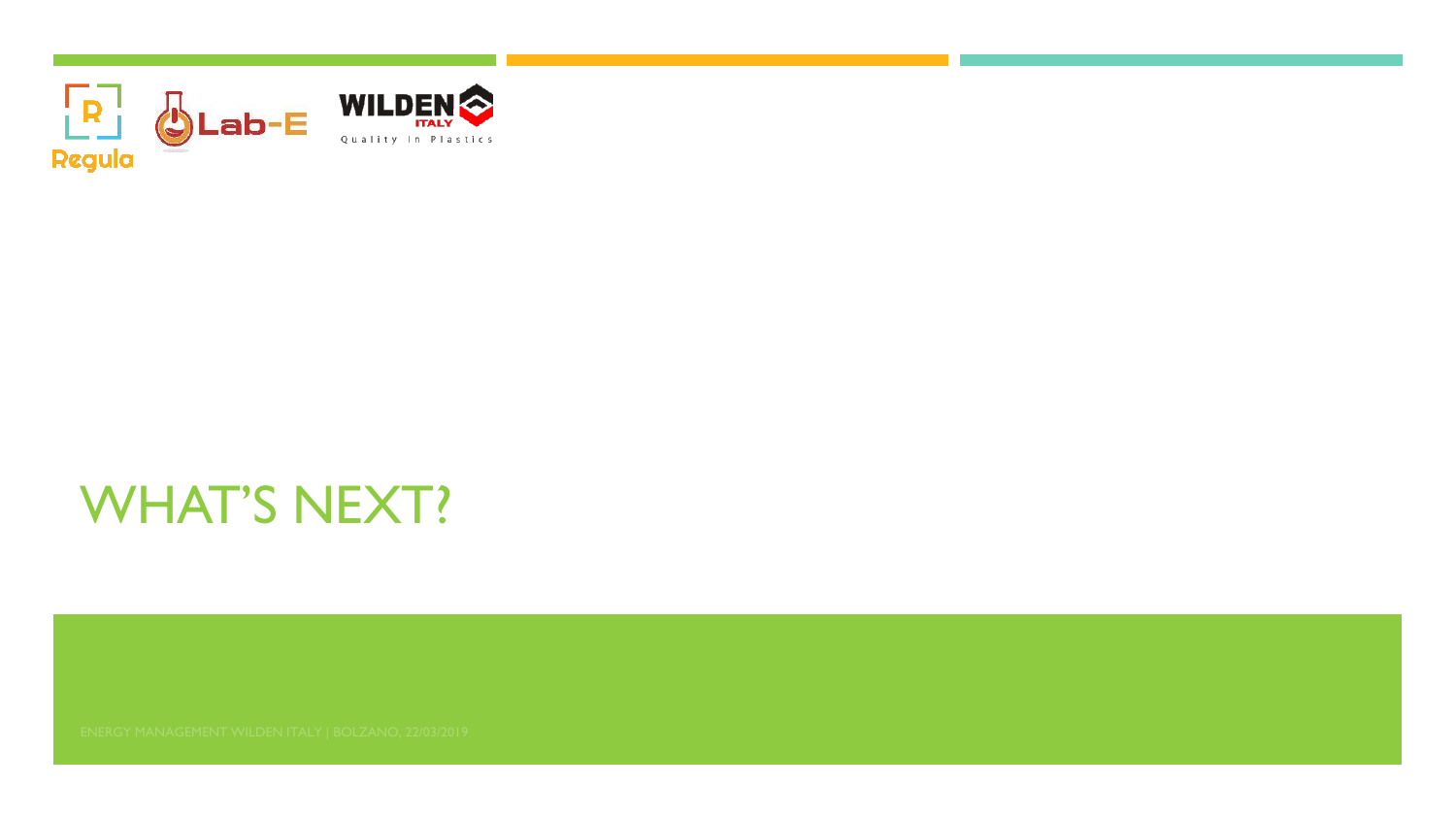

# WHAT'S NEXT?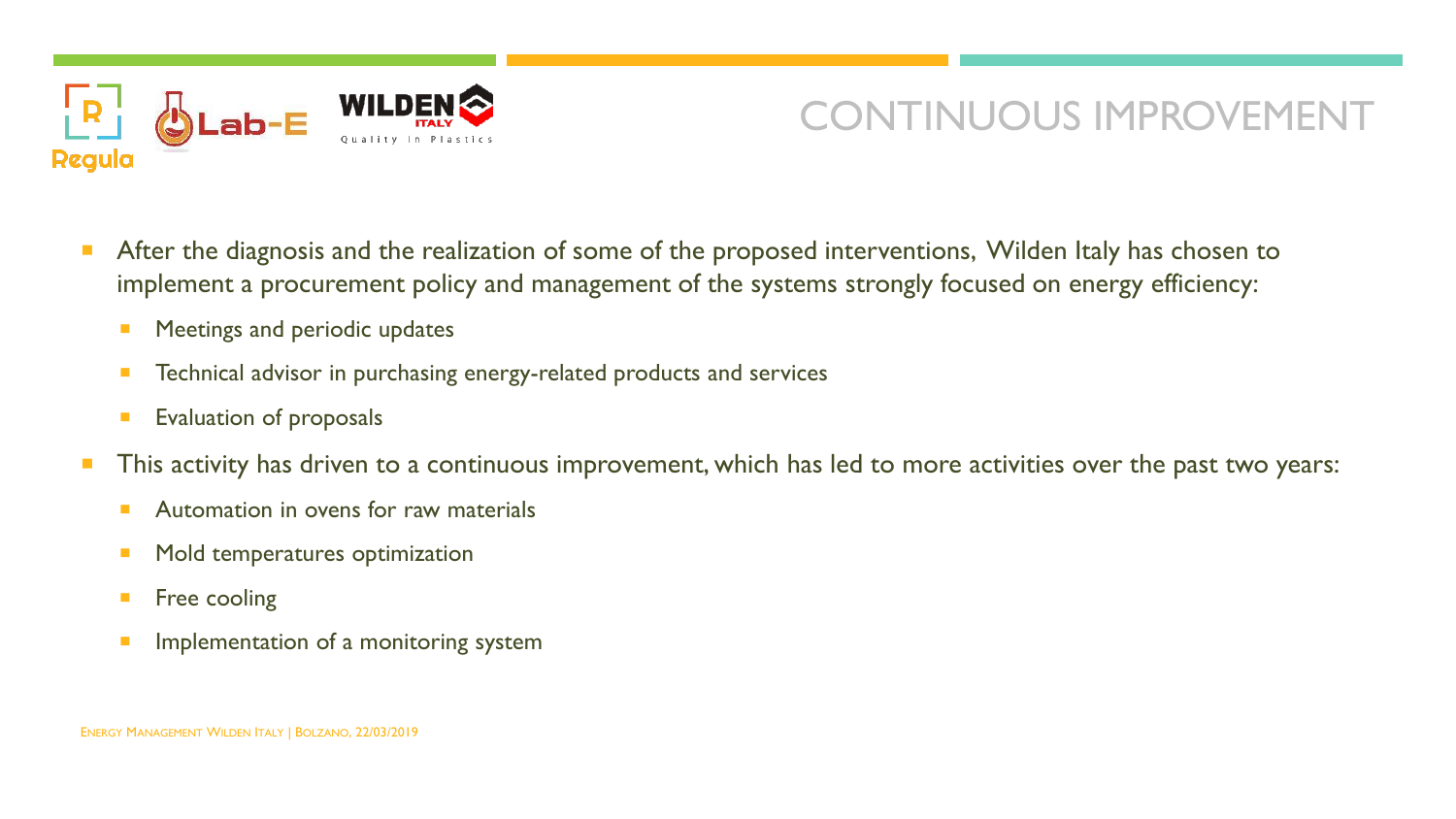

### CONTINUOUS IMPROVEMENT

- After the diagnosis and the realization of some of the proposed interventions, Wilden Italy has chosen to implement a procurement policy and management of the systems strongly focused on energy efficiency:
	- Meetings and periodic updates
	- **Technical advisor in purchasing energy-related products and services**
	- Evaluation of proposals
- This activity has driven to a continuous improvement, which has led to more activities over the past two years:
	- **Automation in ovens for raw materials**
	- **Mold temperatures optimization**
	- **Filte** cooling
	- Implementation of a monitoring system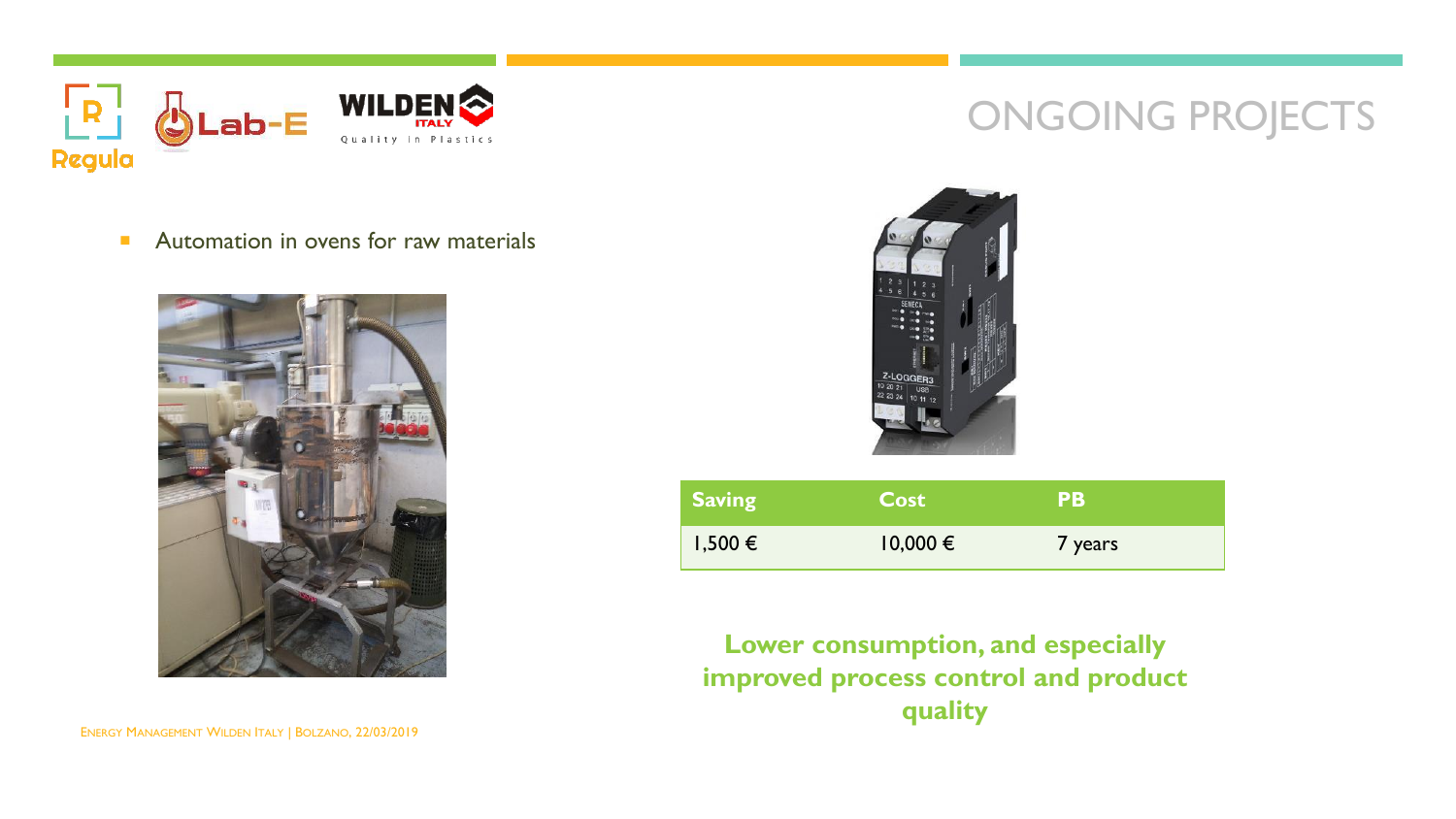

#### **Automation in ovens for raw materials**





ONGOING PROJECTS

| <b>Saving</b> | <b>Cost</b>  | PВ      |
|---------------|--------------|---------|
| $1,500 \in$   | $10,000 \in$ | 7 years |

**Lower consumption, and especially improved process control and product quality**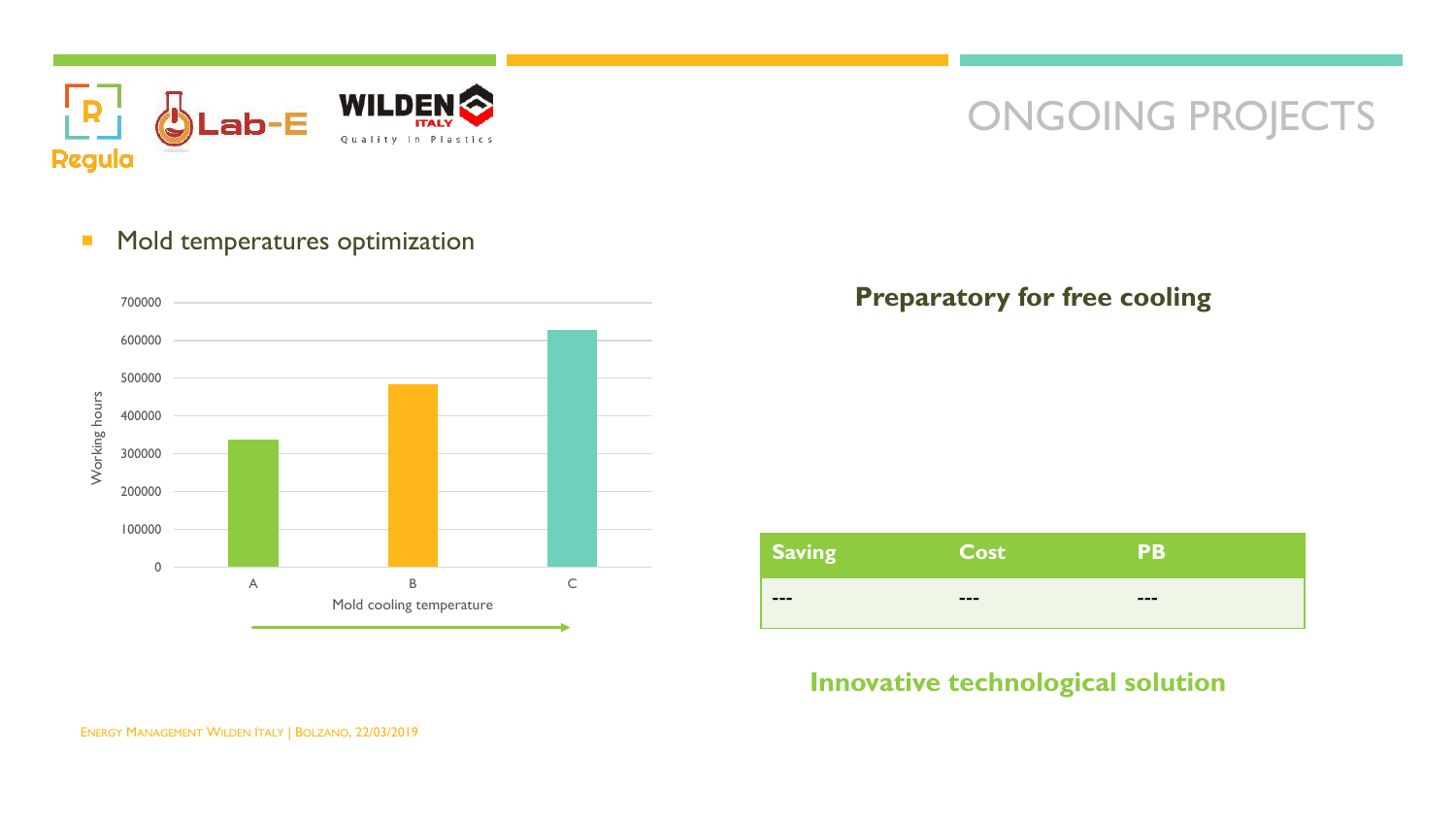

### ONGOING PROJECTS

#### **• Mold temperatures optimization**



#### **Preparatory for free cooling**



#### **Innovative technological solution**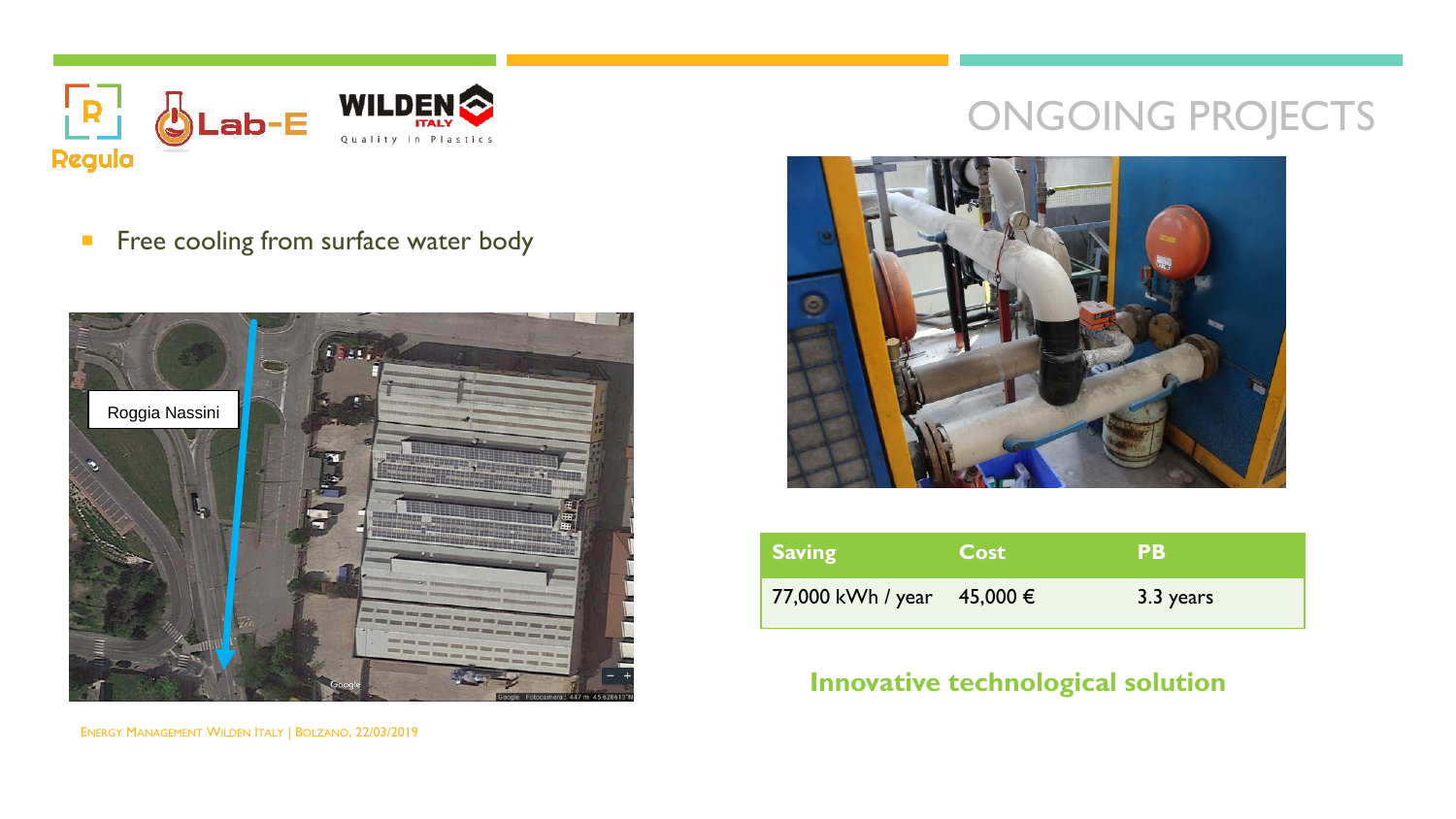

Free cooling from surface water body



## ONGOING PROJECTS



| Saving                     | <b>Cost</b> | PВ        |
|----------------------------|-------------|-----------|
| 77,000 kWh / year 45,000 € |             | 3.3 years |

### **Innovative technological solution**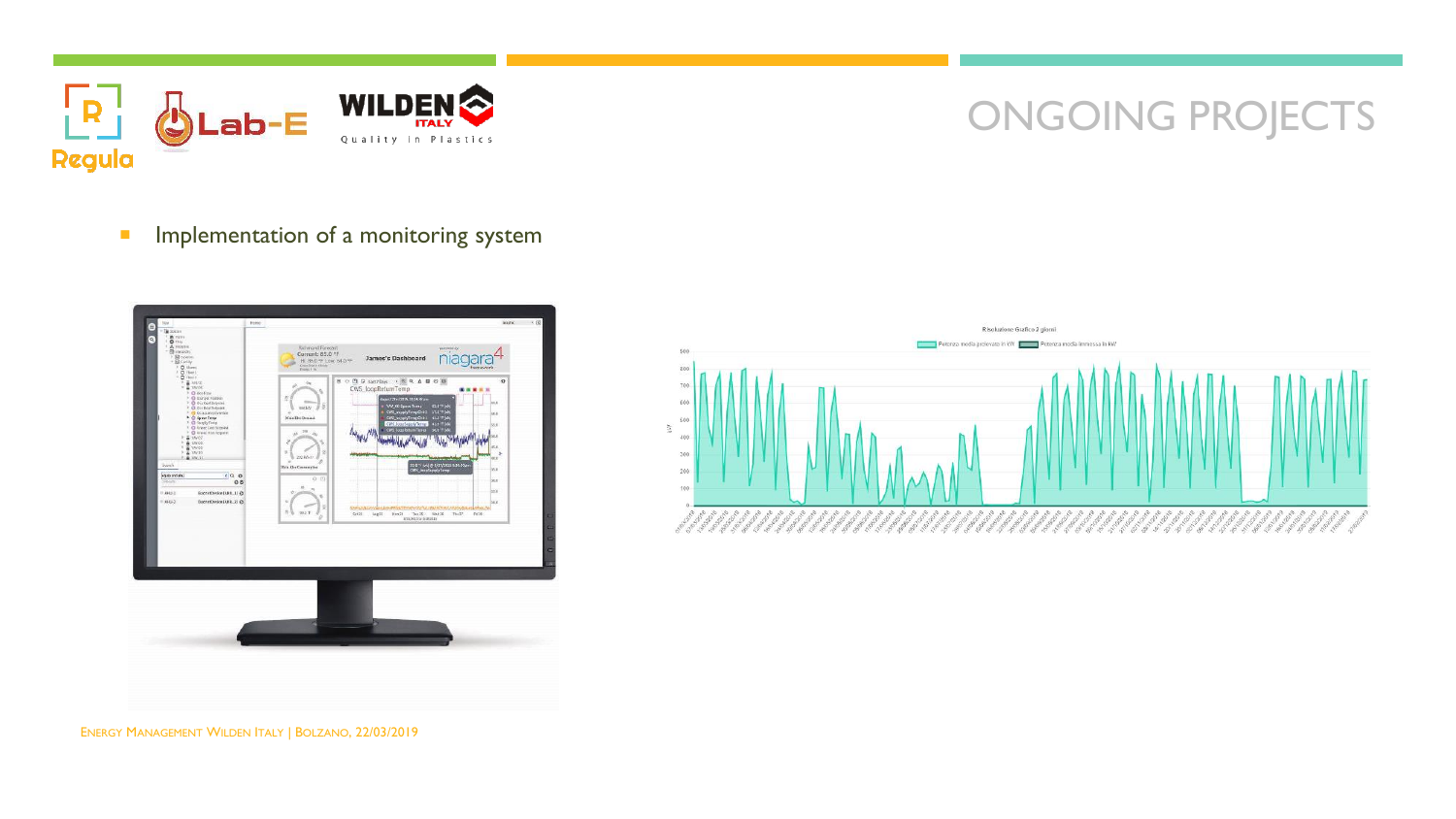

### ONGOING PROJECTS

**Implementation of a monitoring system** 





ENERGY MANAGEMENT WILDEN ITALY | BOLZANO, 22/03/2019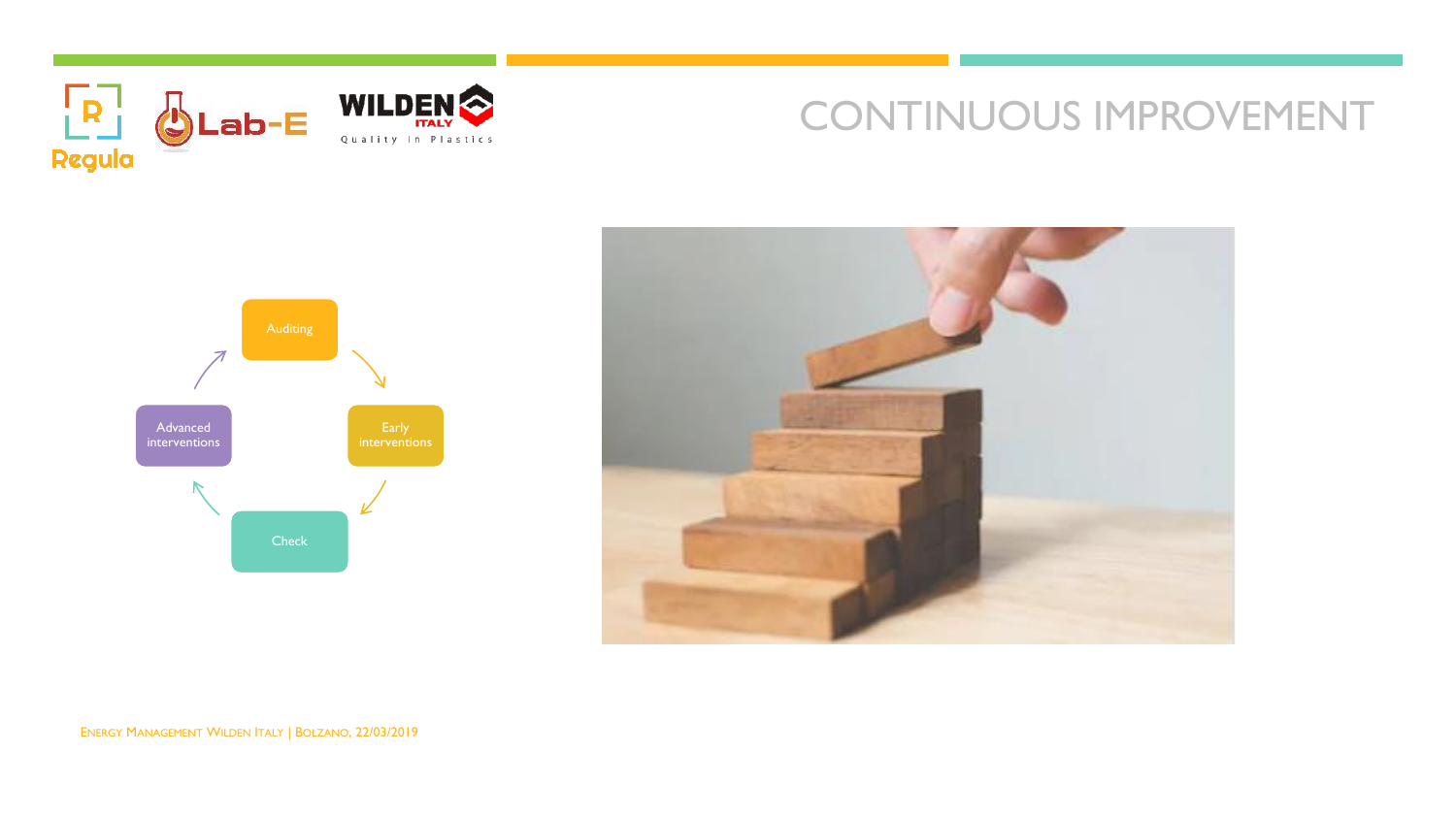

### CONTINUOUS IMPROVEMENT